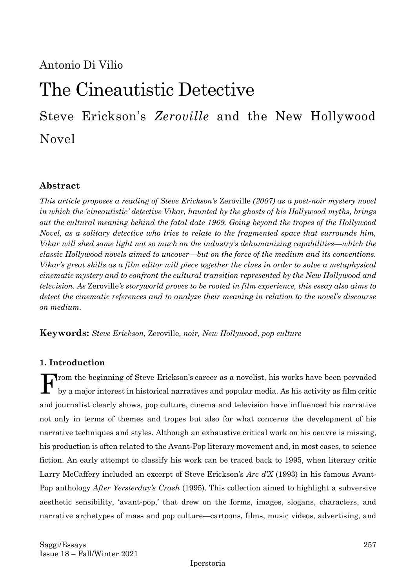Antonio Di Vilio

# The Cineautistic Detective

Steve Erickson's *Zeroville* and the New Hollywood Novel

### **Abstract**

*This article proposes a reading of Steve Erickson's* Zeroville *(2007) as a post-noir mystery novel in which the 'cineautistic' detective Vikar, haunted by the ghosts of his Hollywood myths, brings out the cultural meaning behind the fatal date 1969. Going beyond the tropes of the Hollywood Novel, as a solitary detective who tries to relate to the fragmented space that surrounds him, Vikar will shed some light not so much on the industry's dehumanizing capabilities—which the classic Hollywood novels aimed to uncover—but on the force of the medium and its conventions. Vikar's great skills as a film editor will piece together the clues in order to solve a metaphysical cinematic mystery and to confront the cultural transition represented by the New Hollywood and television. As* Zeroville*'s storyworld proves to be rooted in film experience, this essay also aims to detect the cinematic references and to analyze their meaning in relation to the novel's discourse on medium.* 

**Keywords:** *Steve Erickson,* Zeroville*, noir, New Hollywood, pop culture*

#### **1. Introduction**

rom the beginning of Steve Erickson's career as a novelist, his works have been pervaded by a major interest in historical narratives and popular media. As his activity as film critic and journalist clearly shows, pop culture, cinema and television have influenced his narrative not only in terms of themes and tropes but also for what concerns the development of his narrative techniques and styles. Although an exhaustive critical work on his oeuvre is missing, his production is often related to the Avant-Pop literary movement and, in most cases, to science fiction. An early attempt to classify his work can be traced back to 1995, when literary critic Larry McCaffery included an excerpt of Steve Erickson's *Arc d'X* (1993) in his famous Avant-Pop anthology *After Yersterday's Crash* (1995). This collection aimed to highlight a subversive aesthetic sensibility, 'avant-pop,' that drew on the forms, images, slogans, characters, and narrative archetypes of mass and pop culture—cartoons, films, music videos, advertising, and F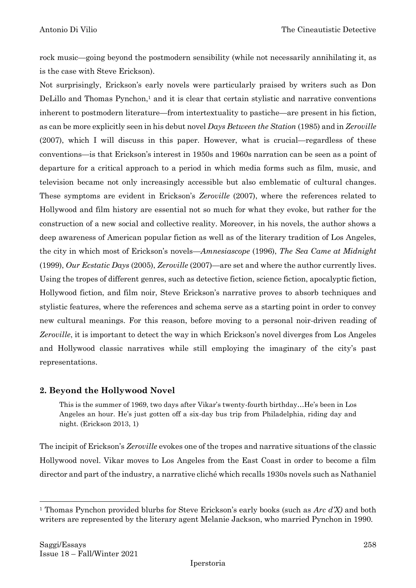rock music—going beyond the postmodern sensibility (while not necessarily annihilating it, as is the case with Steve Erickson).

Not surprisingly, Erickson's early novels were particularly praised by writers such as Don DeLillo and Thomas Pynchon,<sup>1</sup> and it is clear that certain stylistic and narrative conventions inherent to postmodern literature—from intertextuality to pastiche—are present in his fiction, as can be more explicitly seen in his debut novel *Days Between the Station* (1985) and in *Zeroville* (2007), which I will discuss in this paper. However, what is crucial—regardless of these conventions—is that Erickson's interest in 1950s and 1960s narration can be seen as a point of departure for a critical approach to a period in which media forms such as film, music, and television became not only increasingly accessible but also emblematic of cultural changes. These symptoms are evident in Erickson's *Zeroville* (2007), where the references related to Hollywood and film history are essential not so much for what they evoke, but rather for the construction of a new social and collective reality. Moreover, in his novels, the author shows a deep awareness of American popular fiction as well as of the literary tradition of Los Angeles, the city in which most of Erickson's novels—*Amnesiascope* (1996), *The Sea Came at Midnight* (1999), *Our Ecstatic Days* (2005), *Zeroville* (2007)—are set and where the author currently lives. Using the tropes of different genres, such as detective fiction, science fiction, apocalyptic fiction, Hollywood fiction, and film noir, Steve Erickson's narrative proves to absorb techniques and stylistic features, where the references and schema serve as a starting point in order to convey new cultural meanings. For this reason, before moving to a personal noir-driven reading of *Zeroville*, it is important to detect the way in which Erickson's novel diverges from Los Angeles and Hollywood classic narratives while still employing the imaginary of the city's past representations.

### **2. Beyond the Hollywood Novel**

This is the summer of 1969, two days after Vikar's twenty-fourth birthday…He's been in Los Angeles an hour. He's just gotten off a six-day bus trip from Philadelphia, riding day and night. (Erickson 2013, 1)

The incipit of Erickson's *Zeroville* evokes one of the tropes and narrative situations of the classic Hollywood novel. Vikar moves to Los Angeles from the East Coast in order to become a film director and part of the industry, a narrative cliché which recalls 1930s novels such as Nathaniel

<sup>1</sup> Thomas Pynchon provided blurbs for Steve Erickson's early books (such as *Arc d'X)* and both writers are represented by the literary agent Melanie Jackson, who married Pynchon in 1990.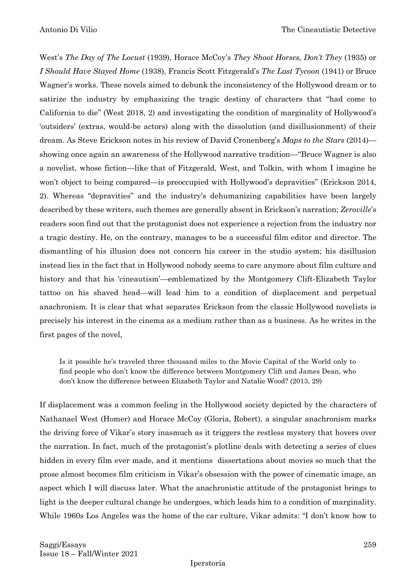West's *The Day of The Locust* (1939), Horace McCoy's *They Shoot Horses, Don't They* (1935) or *I Should Have Stayed Home* (1938), Francis Scott Fitzgerald's *The Last Tycoon* (1941) or Bruce Wagner's works. These novels aimed to debunk the inconsistency of the Hollywood dream or to satirize the industry by emphasizing the tragic destiny of characters that "had come to California to die" (West 2018, 2) and investigating the condition of marginality of Hollywood's 'outsiders' (extras, would-be actors) along with the dissolution (and disillusionment) of their dream. As Steve Erickson notes in his review of David Cronenberg's *Maps to the Stars* (2014) showing once again an awareness of the Hollywood narrative tradition—"Bruce Wagner is also a novelist, whose fiction—like that of Fitzgerald, West, and Tolkin, with whom I imagine he won't object to being compared—is preoccupied with Hollywood's depravities" (Erickson 2014, 2). Whereas "depravities" and the industry's dehumanizing capabilities have been largely described by these writers, such themes are generally absent in Erickson's narration; *Zeroville*'s readers soon find out that the protagonist does not experience a rejection from the industry nor a tragic destiny. He, on the contrary, manages to be a successful film editor and director. The dismantling of his illusion does not concern his career in the studio system; his disillusion instead lies in the fact that in Hollywood nobody seems to care anymore about film culture and history and that his 'cineautism'—emblematized by the Montgomery Clift-Elizabeth Taylor tattoo on his shaved head—will lead him to a condition of displacement and perpetual anachronism. It is clear that what separates Erickson from the classic Hollywood novelists is precisely his interest in the cinema as a medium rather than as a business. As he writes in the first pages of the novel,

Is it possible he's traveled three thousand miles to the Movie Capital of the World only to find people who don't know the difference between Montgomery Clift and James Dean, who don't know the difference between Elizabeth Taylor and Natalie Wood? (2013, 29)

If displacement was a common feeling in the Hollywood society depicted by the characters of Nathanael West (Homer) and Horace McCoy (Gloria, Robert), a singular anachronism marks the driving force of Vikar's story inasmuch as it triggers the restless mystery that hovers over the narration. In fact, much of the protagonist's plotline deals with detecting a series of clues hidden in every film ever made, and it mentions dissertations about movies so much that the prose almost becomes film criticism in Vikar's obsession with the power of cinematic image, an aspect which I will discuss later. What the anachronistic attitude of the protagonist brings to light is the deeper cultural change he undergoes, which leads him to a condition of marginality. While 1960s Los Angeles was the home of the car culture, Vikar admits: "I don't know how to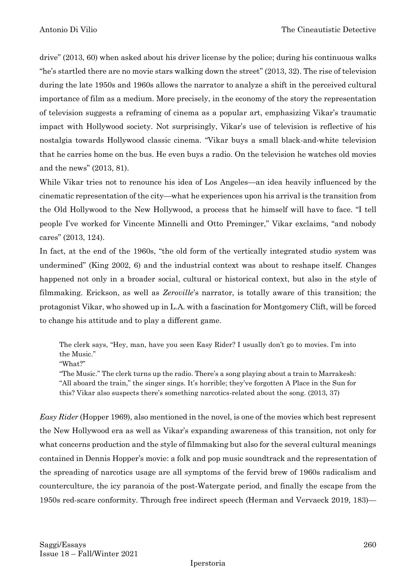drive" (2013, 60) when asked about his driver license by the police; during his continuous walks "he's startled there are no movie stars walking down the street" (2013, 32). The rise of television during the late 1950s and 1960s allows the narrator to analyze a shift in the perceived cultural importance of film as a medium. More precisely, in the economy of the story the representation of television suggests a reframing of cinema as a popular art, emphasizing Vikar's traumatic impact with Hollywood society. Not surprisingly, Vikar's use of television is reflective of his nostalgia towards Hollywood classic cinema. "Vikar buys a small black-and-white television that he carries home on the bus. He even buys a radio. On the television he watches old movies and the news" (2013, 81).

While Vikar tries not to renounce his idea of Los Angeles—an idea heavily influenced by the cinematic representation of the city—what he experiences upon his arrival is the transition from the Old Hollywood to the New Hollywood, a process that he himself will have to face. "I tell people I've worked for Vincente Minnelli and Otto Preminger," Vikar exclaims, "and nobody cares" (2013, 124).

In fact, at the end of the 1960s, "the old form of the vertically integrated studio system was undermined" (King 2002, 6) and the industrial context was about to reshape itself. Changes happened not only in a broader social, cultural or historical context, but also in the style of filmmaking. Erickson, as well as *Zeroville*'s narrator, is totally aware of this transition; the protagonist Vikar, who showed up in L.A. with a fascination for Montgomery Clift, will be forced to change his attitude and to play a different game.

The clerk says, "Hey, man, have you seen Easy Rider? I usually don't go to movies. I'm into the Music."

"What?"

"The Music." The clerk turns up the radio. There's a song playing about a train to Marrakesh: "All aboard the train," the singer sings. It's horrible; they've forgotten A Place in the Sun for this? Vikar also suspects there's something narcotics-related about the song. (2013, 37)

*Easy Rider* (Hopper 1969), also mentioned in the novel, is one of the movies which best represent the New Hollywood era as well as Vikar's expanding awareness of this transition, not only for what concerns production and the style of filmmaking but also for the several cultural meanings contained in Dennis Hopper's movie: a folk and pop music soundtrack and the representation of the spreading of narcotics usage are all symptoms of the fervid brew of 1960s radicalism and counterculture, the icy paranoia of the post-Watergate period, and finally the escape from the 1950s red-scare conformity. Through free indirect speech (Herman and Vervaeck 2019, 183)—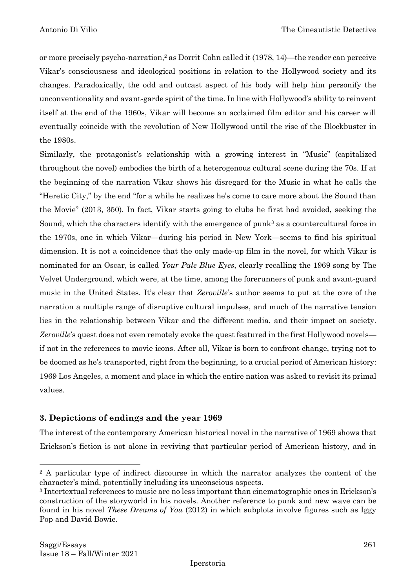or more precisely psycho-narration, <sup>2</sup> as Dorrit Cohn called it (1978, 14)—the reader can perceive Vikar's consciousness and ideological positions in relation to the Hollywood society and its changes. Paradoxically, the odd and outcast aspect of his body will help him personify the unconventionality and avant-garde spirit of the time. In line with Hollywood's ability to reinvent itself at the end of the 1960s, Vikar will become an acclaimed film editor and his career will eventually coincide with the revolution of New Hollywood until the rise of the Blockbuster in the 1980s.

Similarly, the protagonist's relationship with a growing interest in "Music" (capitalized throughout the novel) embodies the birth of a heterogenous cultural scene during the 70s. If at the beginning of the narration Vikar shows his disregard for the Music in what he calls the "Heretic City," by the end "for a while he realizes he's come to care more about the Sound than the Movie" (2013, 350). In fact, Vikar starts going to clubs he first had avoided, seeking the Sound, which the characters identify with the emergence of punk<sup>3</sup> as a countercultural force in the 1970s, one in which Vikar—during his period in New York—seems to find his spiritual dimension. It is not a coincidence that the only made-up film in the novel, for which Vikar is nominated for an Oscar, is called *Your Pale Blue Eyes*, clearly recalling the 1969 song by The Velvet Underground, which were, at the time, among the forerunners of punk and avant-guard music in the United States. It's clear that *Zeroville*'s author seems to put at the core of the narration a multiple range of disruptive cultural impulses, and much of the narrative tension lies in the relationship between Vikar and the different media, and their impact on society. *Zeroville*'s quest does not even remotely evoke the quest featured in the first Hollywood novels if not in the references to movie icons. After all, Vikar is born to confront change, trying not to be doomed as he's transported, right from the beginning, to a crucial period of American history: 1969 Los Angeles, a moment and place in which the entire nation was asked to revisit its primal values.

### **3. Depictions of endings and the year 1969**

The interest of the contemporary American historical novel in the narrative of 1969 shows that Erickson's fiction is not alone in reviving that particular period of American history, and in

<sup>&</sup>lt;sup>2</sup> A particular type of indirect discourse in which the narrator analyzes the content of the character's mind, potentially including its unconscious aspects.

<sup>3</sup> Intertextual references to music are no less important than cinematographic ones in Erickson's construction of the storyworld in his novels. Another reference to punk and new wave can be found in his novel *These Dreams of You* (2012) in which subplots involve figures such as Iggy Pop and David Bowie.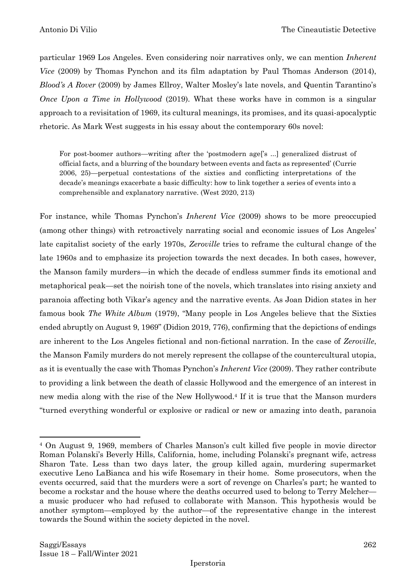particular 1969 Los Angeles. Even considering noir narratives only, we can mention *Inherent Vice* (2009) by Thomas Pynchon and its film adaptation by Paul Thomas Anderson (2014), *Blood's A Rover* (2009) by James Ellroy, Walter Mosley's late novels, and Quentin Tarantino's *Once Upon a Time in Hollywood* (2019). What these works have in common is a singular approach to a revisitation of 1969, its cultural meanings, its promises, and its quasi-apocalyptic rhetoric. As Mark West suggests in his essay about the contemporary 60s novel:

For post-boomer authors—writing after the 'postmodern age['s ...] generalized distrust of official facts, and a blurring of the boundary between events and facts as represented' (Currie 2006, 25)—perpetual contestations of the sixties and conflicting interpretations of the decade's meanings exacerbate a basic difficulty: how to link together a series of events into a comprehensible and explanatory narrative. (West 2020, 213)

For instance, while Thomas Pynchon's *Inherent Vice* (2009) shows to be more preoccupied (among other things) with retroactively narrating social and economic issues of Los Angeles' late capitalist society of the early 1970s, *Zeroville* tries to reframe the cultural change of the late 1960s and to emphasize its projection towards the next decades. In both cases, however, the Manson family murders—in which the decade of endless summer finds its emotional and metaphorical peak—set the noirish tone of the novels, which translates into rising anxiety and paranoia affecting both Vikar's agency and the narrative events. As Joan Didion states in her famous book *The White Album* (1979), "Many people in Los Angeles believe that the Sixties ended abruptly on August 9, 1969" (Didion 2019, 776), confirming that the depictions of endings are inherent to the Los Angeles fictional and non-fictional narration. In the case of *Zeroville*, the Manson Family murders do not merely represent the collapse of the countercultural utopia, as it is eventually the case with Thomas Pynchon's *Inherent Vice* (2009). They rather contribute to providing a link between the death of classic Hollywood and the emergence of an interest in new media along with the rise of the New Hollywood. <sup>4</sup> If it is true that the Manson murders "turned everything wonderful or explosive or radical or new or amazing into death, paranoia

<sup>4</sup> On August 9, 1969, members of Charles Manson's cult killed five people in movie director Roman Polanski's Beverly Hills, California, home, including Polanski's pregnant wife, actress Sharon Tate. Less than two days later, the group killed again, murdering supermarket executive Leno LaBianca and his wife Rosemary in their home. Some prosecutors, when the events occurred, said that the murders were a sort of revenge on Charles's part; he wanted to become a rockstar and the house where the deaths occurred used to belong to Terry Melcher a music producer who had refused to collaborate with Manson. This hypothesis would be another symptom—employed by the author—of the representative change in the interest towards the Sound within the society depicted in the novel.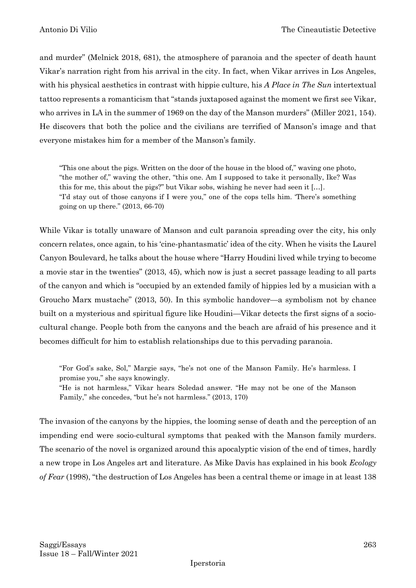and murder" (Melnick 2018, 681), the atmosphere of paranoia and the specter of death haunt Vikar's narration right from his arrival in the city. In fact, when Vikar arrives in Los Angeles, with his physical aesthetics in contrast with hippie culture, his *A Place in The Sun* intertextual tattoo represents a romanticism that "stands juxtaposed against the moment we first see Vikar, who arrives in LA in the summer of 1969 on the day of the Manson murders" (Miller 2021, 154). He discovers that both the police and the civilians are terrified of Manson's image and that everyone mistakes him for a member of the Manson's family.

"This one about the pigs. Written on the door of the house in the blood of," waving one photo, "the mother of," waving the other, "this one. Am I supposed to take it personally, Ike? Was this for me, this about the pigs?" but Vikar sobs, wishing he never had seen it […]. "I'd stay out of those canyons if I were you," one of the cops tells him. 'There's something going on up there." (2013, 66-70)

While Vikar is totally unaware of Manson and cult paranoia spreading over the city, his only concern relates, once again, to his 'cine-phantasmatic' idea of the city. When he visits the Laurel Canyon Boulevard, he talks about the house where "Harry Houdini lived while trying to become a movie star in the twenties" (2013, 45), which now is just a secret passage leading to all parts of the canyon and which is "occupied by an extended family of hippies led by a musician with a Groucho Marx mustache" (2013, 50). In this symbolic handover—a symbolism not by chance built on a mysterious and spiritual figure like Houdini—Vikar detects the first signs of a sociocultural change. People both from the canyons and the beach are afraid of his presence and it becomes difficult for him to establish relationships due to this pervading paranoia.

"For God's sake, Sol," Margie says, "he's not one of the Manson Family. He's harmless. I promise you," she says knowingly.

"He is not harmless," Vikar hears Soledad answer. "He may not be one of the Manson Family," she concedes, "but he's not harmless." (2013, 170)

The invasion of the canyons by the hippies, the looming sense of death and the perception of an impending end were socio-cultural symptoms that peaked with the Manson family murders. The scenario of the novel is organized around this apocalyptic vision of the end of times, hardly a new trope in Los Angeles art and literature. As Mike Davis has explained in his book *Ecology of Fear* (1998), "the destruction of Los Angeles has been a central theme or image in at least 138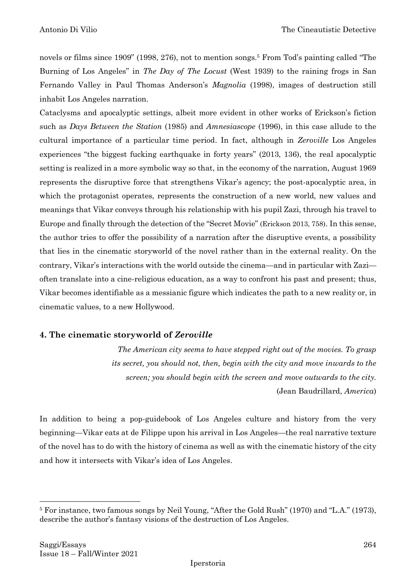novels or films since 1909" (1998, 276), not to mention songs.<sup>5</sup> From Tod's painting called "The Burning of Los Angeles" in *The Day of The Locust* (West 1939) to the raining frogs in San Fernando Valley in Paul Thomas Anderson's *Magnolia* (1998), images of destruction still inhabit Los Angeles narration.

Cataclysms and apocalyptic settings, albeit more evident in other works of Erickson's fiction such as *Days Between the Station* (1985) and *Amnesiascope* (1996), in this case allude to the cultural importance of a particular time period. In fact, although in *Zeroville* Los Angeles experiences "the biggest fucking earthquake in forty years" (2013, 136), the real apocalyptic setting is realized in a more symbolic way so that, in the economy of the narration, August 1969 represents the disruptive force that strengthens Vikar's agency; the post-apocalyptic area, in which the protagonist operates, represents the construction of a new world, new values and meanings that Vikar conveys through his relationship with his pupil Zazi, through his travel to Europe and finally through the detection of the "Secret Movie" (Erickson 2013, 758). In this sense, the author tries to offer the possibility of a narration after the disruptive events, a possibility that lies in the cinematic storyworld of the novel rather than in the external reality. On the contrary, Vikar's interactions with the world outside the cinema—and in particular with Zazi often translate into a cine-religious education, as a way to confront his past and present; thus, Vikar becomes identifiable as a messianic figure which indicates the path to a new reality or, in cinematic values, to a new Hollywood.

### **4. The cinematic storyworld of** *Zeroville*

*The American city seems to have stepped right out of the movies. To grasp its secret, you should not, then, begin with the city and move inwards to the screen; you should begin with the screen and move outwards to the city.* (Jean Baudrillard, *America*)

In addition to being a pop-guidebook of Los Angeles culture and history from the very beginning—Vikar eats at de Filippe upon his arrival in Los Angeles—the real narrative texture of the novel has to do with the history of cinema as well as with the cinematic history of the city and how it intersects with Vikar's idea of Los Angeles.

<sup>5</sup> For instance, two famous songs by Neil Young, "After the Gold Rush" (1970) and "L.A." (1973), describe the author's fantasy visions of the destruction of Los Angeles.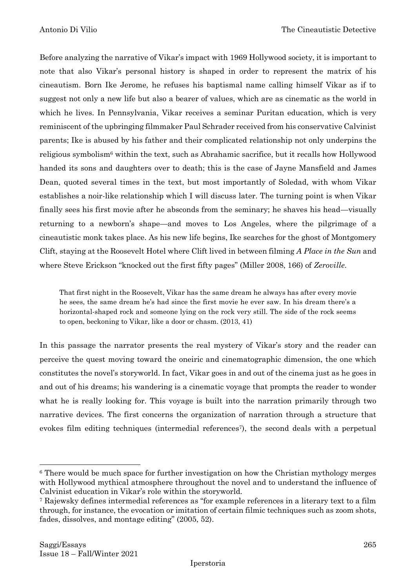Before analyzing the narrative of Vikar's impact with 1969 Hollywood society, it is important to note that also Vikar's personal history is shaped in order to represent the matrix of his cineautism. Born Ike Jerome, he refuses his baptismal name calling himself Vikar as if to suggest not only a new life but also a bearer of values, which are as cinematic as the world in which he lives. In Pennsylvania, Vikar receives a seminar Puritan education, which is very reminiscent of the upbringing filmmaker Paul Schrader received from his conservative Calvinist parents; Ike is abused by his father and their complicated relationship not only underpins the religious symbolism<sup>6</sup> within the text, such as Abrahamic sacrifice, but it recalls how Hollywood handed its sons and daughters over to death; this is the case of Jayne Mansfield and James Dean, quoted several times in the text, but most importantly of Soledad, with whom Vikar establishes a noir-like relationship which I will discuss later. The turning point is when Vikar finally sees his first movie after he absconds from the seminary; he shaves his head—visually returning to a newborn's shape—and moves to Los Angeles, where the pilgrimage of a cineautistic monk takes place. As his new life begins, Ike searches for the ghost of Montgomery Clift, staying at the Roosevelt Hotel where Clift lived in between filming *A Place in the Sun* and where Steve Erickson "knocked out the first fifty pages" (Miller 2008, 166) of *Zeroville*.

That first night in the Roosevelt, Vikar has the same dream he always has after every movie he sees, the same dream he's had since the first movie he ever saw. In his dream there's a horizontal-shaped rock and someone lying on the rock very still. The side of the rock seems to open, beckoning to Vikar, like a door or chasm. (2013, 41)

In this passage the narrator presents the real mystery of Vikar's story and the reader can perceive the quest moving toward the oneiric and cinematographic dimension, the one which constitutes the novel's storyworld. In fact, Vikar goes in and out of the cinema just as he goes in and out of his dreams; his wandering is a cinematic voyage that prompts the reader to wonder what he is really looking for. This voyage is built into the narration primarily through two narrative devices. The first concerns the organization of narration through a structure that evokes film editing techniques (intermedial references<sup>7</sup>), the second deals with a perpetual

<sup>6</sup> There would be much space for further investigation on how the Christian mythology merges with Hollywood mythical atmosphere throughout the novel and to understand the influence of Calvinist education in Vikar's role within the storyworld.

<sup>7</sup> Rajewsky defines intermedial references as "for example references in a literary text to a film through, for instance, the evocation or imitation of certain filmic techniques such as zoom shots, fades, dissolves, and montage editing" (2005, 52).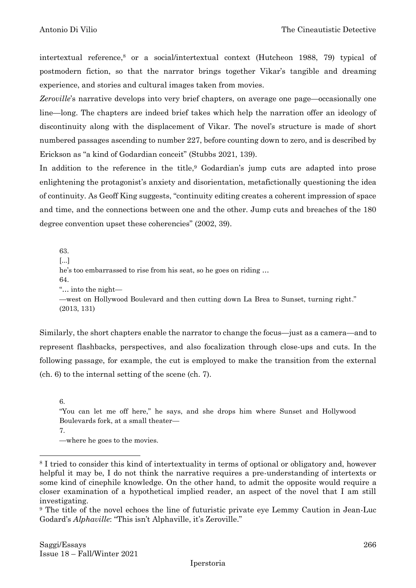intertextual reference, <sup>8</sup> or a social/intertextual context (Hutcheon 1988, 79) typical of postmodern fiction, so that the narrator brings together Vikar's tangible and dreaming experience, and stories and cultural images taken from movies.

*Zeroville*'s narrative develops into very brief chapters, on average one page—occasionally one line—long. The chapters are indeed brief takes which help the narration offer an ideology of discontinuity along with the displacement of Vikar. The novel's structure is made of short numbered passages ascending to number 227, before counting down to zero, and is described by Erickson as "a kind of Godardian conceit" (Stubbs 2021, 139).

In addition to the reference in the title,<sup>9</sup> Godardian's jump cuts are adapted into prose enlightening the protagonist's anxiety and disorientation, metafictionally questioning the idea of continuity. As Geoff King suggests, "continuity editing creates a coherent impression of space and time, and the connections between one and the other. Jump cuts and breaches of the 180 degree convention upset these coherencies" (2002, 39).

63. [...] he's too embarrassed to rise from his seat, so he goes on riding … 64. "… into the night— —west on Hollywood Boulevard and then cutting down La Brea to Sunset, turning right." (2013, 131)

Similarly, the short chapters enable the narrator to change the focus—just as a camera—and to represent flashbacks, perspectives, and also focalization through close-ups and cuts. In the following passage, for example, the cut is employed to make the transition from the external (ch. 6) to the internal setting of the scene (ch. 7).

6.

"You can let me off here," he says, and she drops him where Sunset and Hollywood Boulevards fork, at a small theater— 7.

—where he goes to the movies.

<sup>8</sup> I tried to consider this kind of intertextuality in terms of optional or obligatory and, however helpful it may be, I do not think the narrative requires a pre-understanding of intertexts or some kind of cinephile knowledge. On the other hand, to admit the opposite would require a closer examination of a hypothetical implied reader, an aspect of the novel that I am still investigating.

<sup>9</sup> The title of the novel echoes the line of futuristic private eye Lemmy Caution in Jean-Luc Godard's *Alphaville*: "This isn't Alphaville, it's Zeroville."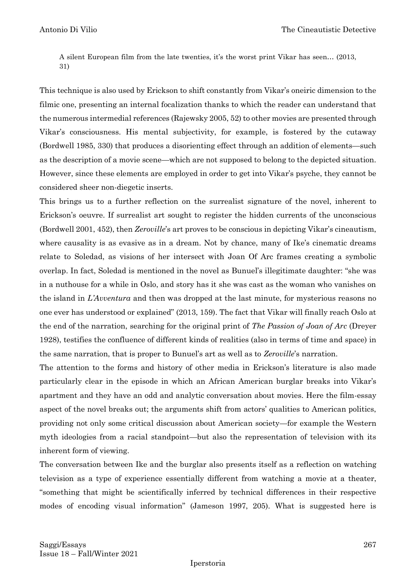A silent European film from the late twenties, it's the worst print Vikar has seen… (2013, 31)

This technique is also used by Erickson to shift constantly from Vikar's oneiric dimension to the filmic one, presenting an internal focalization thanks to which the reader can understand that the numerous intermedial references (Rajewsky 2005, 52) to other movies are presented through Vikar's consciousness. His mental subjectivity, for example, is fostered by the cutaway (Bordwell 1985, 330) that produces a disorienting effect through an addition of elements—such as the description of a movie scene—which are not supposed to belong to the depicted situation. However, since these elements are employed in order to get into Vikar's psyche, they cannot be considered sheer non-diegetic inserts.

This brings us to a further reflection on the surrealist signature of the novel, inherent to Erickson's oeuvre. If surrealist art sought to register the hidden currents of the unconscious (Bordwell 2001, 452), then *Zeroville*'s art proves to be conscious in depicting Vikar's cineautism, where causality is as evasive as in a dream. Not by chance, many of Ike's cinematic dreams relate to Soledad, as visions of her intersect with Joan Of Arc frames creating a symbolic overlap. In fact, Soledad is mentioned in the novel as Bunuel's illegitimate daughter: "she was in a nuthouse for a while in Oslo, and story has it she was cast as the woman who vanishes on the island in *L'Avventura* and then was dropped at the last minute, for mysterious reasons no one ever has understood or explained" (2013, 159). The fact that Vikar will finally reach Oslo at the end of the narration, searching for the original print of *The Passion of Joan of Arc* (Dreyer 1928), testifies the confluence of different kinds of realities (also in terms of time and space) in the same narration, that is proper to Bunuel's art as well as to *Zeroville*'s narration.

The attention to the forms and history of other media in Erickson's literature is also made particularly clear in the episode in which an African American burglar breaks into Vikar's apartment and they have an odd and analytic conversation about movies. Here the film-essay aspect of the novel breaks out; the arguments shift from actors' qualities to American politics, providing not only some critical discussion about American society—for example the Western myth ideologies from a racial standpoint—but also the representation of television with its inherent form of viewing.

The conversation between Ike and the burglar also presents itself as a reflection on watching television as a type of experience essentially different from watching a movie at a theater, "something that might be scientifically inferred by technical differences in their respective modes of encoding visual information" (Jameson 1997, 205). What is suggested here is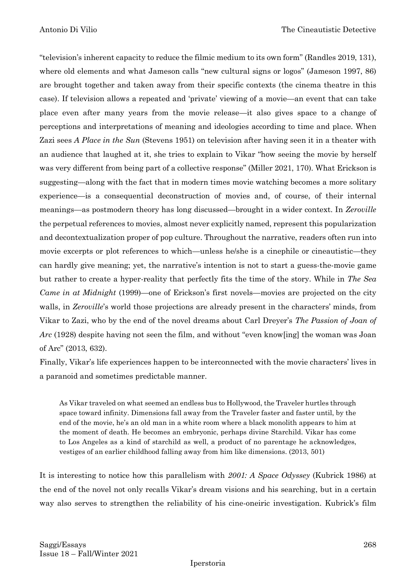"television's inherent capacity to reduce the filmic medium to its own form" (Randles 2019, 131), where old elements and what Jameson calls "new cultural signs or logos" (Jameson 1997, 86) are brought together and taken away from their specific contexts (the cinema theatre in this case). If television allows a repeated and 'private' viewing of a movie—an event that can take place even after many years from the movie release—it also gives space to a change of perceptions and interpretations of meaning and ideologies according to time and place. When Zazi sees *A Place in the Sun* (Stevens 1951) on television after having seen it in a theater with an audience that laughed at it, she tries to explain to Vikar "how seeing the movie by herself was very different from being part of a collective response" (Miller 2021, 170). What Erickson is suggesting—along with the fact that in modern times movie watching becomes a more solitary experience—is a consequential deconstruction of movies and, of course, of their internal meanings—as postmodern theory has long discussed—brought in a wider context. In *Zeroville* the perpetual references to movies, almost never explicitly named, represent this popularization and decontextualization proper of pop culture. Throughout the narrative, readers often run into movie excerpts or plot references to which—unless he/she is a cinephile or cineautistic—they can hardly give meaning; yet, the narrative's intention is not to start a guess-the-movie game but rather to create a hyper-reality that perfectly fits the time of the story. While in *The Sea Came in at Midnight* (1999)—one of Erickson's first novels—movies are projected on the city walls, in *Zeroville*'s world those projections are already present in the characters' minds, from Vikar to Zazi, who by the end of the novel dreams about Carl Dreyer's *The Passion of Joan of Arc* (1928) despite having not seen the film, and without "even know[ing] the woman was Joan of Arc" (2013, 632).

Finally, Vikar's life experiences happen to be interconnected with the movie characters' lives in a paranoid and sometimes predictable manner.

As Vikar traveled on what seemed an endless bus to Hollywood, the Traveler hurtles through space toward infinity. Dimensions fall away from the Traveler faster and faster until, by the end of the movie, he's an old man in a white room where a black monolith appears to him at the moment of death. He becomes an embryonic, perhaps divine Starchild. Vikar has come to Los Angeles as a kind of starchild as well, a product of no parentage he acknowledges, vestiges of an earlier childhood falling away from him like dimensions. (2013, 501)

It is interesting to notice how this parallelism with *2001: A Space Odyssey* (Kubrick 1986) at the end of the novel not only recalls Vikar's dream visions and his searching, but in a certain way also serves to strengthen the reliability of his cine-oneiric investigation. Kubrick's film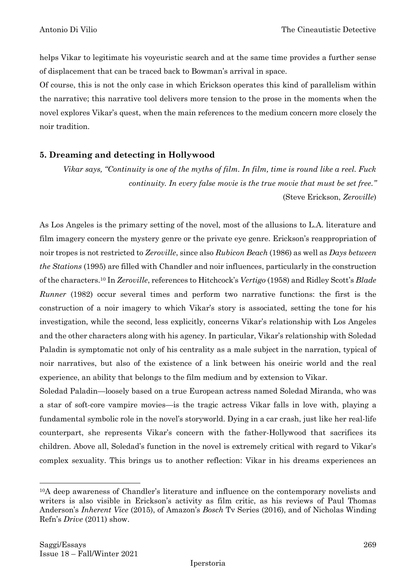helps Vikar to legitimate his voyeuristic search and at the same time provides a further sense of displacement that can be traced back to Bowman's arrival in space.

Of course, this is not the only case in which Erickson operates this kind of parallelism within the narrative; this narrative tool delivers more tension to the prose in the moments when the novel explores Vikar's quest, when the main references to the medium concern more closely the noir tradition.

## **5. Dreaming and detecting in Hollywood**

*Vikar says, "Continuity is one of the myths of film. In film, time is round like a reel. Fuck continuity. In every false movie is the true movie that must be set free."* (Steve Erickson, *Zeroville*)

As Los Angeles is the primary setting of the novel, most of the allusions to L.A. literature and film imagery concern the mystery genre or the private eye genre. Erickson's reappropriation of noir tropes is not restricted to *Zeroville*, since also *Rubicon Beach* (1986) as well as *Days between the Stations* (1995) are filled with Chandler and noir influences, particularly in the construction of the characters.<sup>10</sup> In *Zeroville*, references to Hitchcock's *Vertigo* (1958) and Ridley Scott's *Blade Runner* (1982) occur several times and perform two narrative functions: the first is the construction of a noir imagery to which Vikar's story is associated, setting the tone for his investigation, while the second, less explicitly, concerns Vikar's relationship with Los Angeles and the other characters along with his agency. In particular, Vikar's relationship with Soledad Paladin is symptomatic not only of his centrality as a male subject in the narration, typical of noir narratives, but also of the existence of a link between his oneiric world and the real experience, an ability that belongs to the film medium and by extension to Vikar.

Soledad Paladin—loosely based on a true European actress named Soledad Miranda, who was a star of soft-core vampire movies—is the tragic actress Vikar falls in love with, playing a fundamental symbolic role in the novel's storyworld. Dying in a car crash, just like her real-life counterpart, she represents Vikar's concern with the father-Hollywood that sacrifices its children. Above all, Soledad's function in the novel is extremely critical with regard to Vikar's complex sexuality. This brings us to another reflection: Vikar in his dreams experiences an

<sup>10</sup>A deep awareness of Chandler's literature and influence on the contemporary novelists and writers is also visible in Erickson's activity as film critic, as his reviews of Paul Thomas Anderson's *Inherent Vice* (2015), of Amazon's *Bosch* Tv Series (2016), and of Nicholas Winding Refn's *Drive* (2011) show.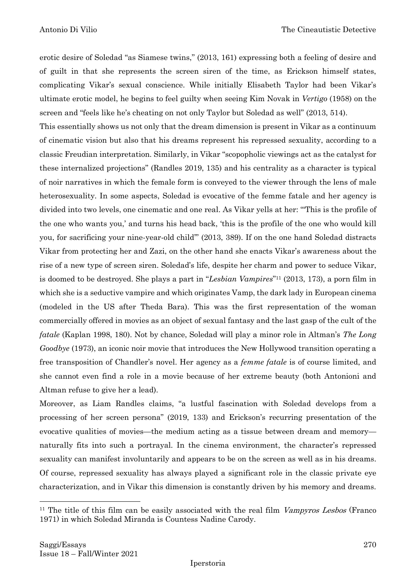erotic desire of Soledad "as Siamese twins," (2013, 161) expressing both a feeling of desire and of guilt in that she represents the screen siren of the time, as Erickson himself states, complicating Vikar's sexual conscience. While initially Elisabeth Taylor had been Vikar's ultimate erotic model, he begins to feel guilty when seeing Kim Novak in *Vertigo* (1958) on the screen and "feels like he's cheating on not only Taylor but Soledad as well" (2013, 514).

This essentially shows us not only that the dream dimension is present in Vikar as a continuum of cinematic vision but also that his dreams represent his repressed sexuality, according to a classic Freudian interpretation. Similarly, in Vikar "scopopholic viewings act as the catalyst for these internalized projections" (Randles 2019, 135) and his centrality as a character is typical of noir narratives in which the female form is conveyed to the viewer through the lens of male heterosexuality. In some aspects, Soledad is evocative of the femme fatale and her agency is divided into two levels, one cinematic and one real. As Vikar yells at her: "'This is the profile of the one who wants you,' and turns his head back, 'this is the profile of the one who would kill you, for sacrificing your nine-year-old child'" (2013, 389). If on the one hand Soledad distracts Vikar from protecting her and Zazi, on the other hand she enacts Vikar's awareness about the rise of a new type of screen siren. Soledad's life, despite her charm and power to seduce Vikar, is doomed to be destroyed. She plays a part in "*Lesbian Vampires*" <sup>11</sup> (2013, 173), a porn film in which she is a seductive vampire and which originates Vamp, the dark lady in European cinema (modeled in the US after Theda Bara). This was the first representation of the woman commercially offered in movies as an object of sexual fantasy and the last gasp of the cult of the *fatale* (Kaplan 1998, 180). Not by chance, Soledad will play a minor role in Altman's *The Long Goodbye* (1973), an iconic noir movie that introduces the New Hollywood transition operating a free transposition of Chandler's novel. Her agency as a *femme fatale* is of course limited, and she cannot even find a role in a movie because of her extreme beauty (both Antonioni and Altman refuse to give her a lead).

Moreover, as Liam Randles claims, "a lustful fascination with Soledad develops from a processing of her screen persona" (2019, 133) and Erickson's recurring presentation of the evocative qualities of movies—the medium acting as a tissue between dream and memory naturally fits into such a portrayal. In the cinema environment, the character's repressed sexuality can manifest involuntarily and appears to be on the screen as well as in his dreams. Of course, repressed sexuality has always played a significant role in the classic private eye characterization, and in Vikar this dimension is constantly driven by his memory and dreams.

<sup>&</sup>lt;sup>11</sup> The title of this film can be easily associated with the real film *Vampyros Lesbos* (Franco) 1971) in which Soledad Miranda is Countess Nadine Carody.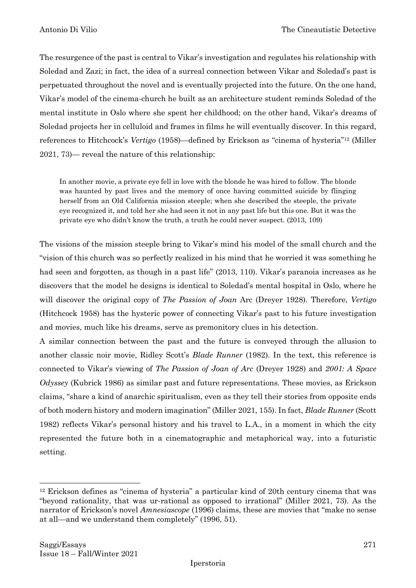The resurgence of the past is central to Vikar's investigation and regulates his relationship with Soledad and Zazi; in fact, the idea of a surreal connection between Vikar and Soledad's past is perpetuated throughout the novel and is eventually projected into the future. On the one hand, Vikar's model of the cinema-church he built as an architecture student reminds Soledad of the mental institute in Oslo where she spent her childhood; on the other hand, Vikar's dreams of Soledad projects her in celluloid and frames in films he will eventually discover. In this regard, references to Hitchcock's *Vertigo* (1958)—defined by Erickson as "cinema of hysteria"<sup>12</sup> (Miller 2021, 73)— reveal the nature of this relationship:

In another movie, a private eye fell in love with the blonde he was hired to follow. The blonde was haunted by past lives and the memory of once having committed suicide by flinging herself from an Old California mission steeple; when she described the steeple, the private eye recognized it, and told her she had seen it not in any past life but this one. But it was the private eye who didn't know the truth, a truth he could never suspect. (2013, 109)

The visions of the mission steeple bring to Vikar's mind his model of the small church and the "vision of this church was so perfectly realized in his mind that he worried it was something he had seen and forgotten, as though in a past life" (2013, 110). Vikar's paranoia increases as he discovers that the model he designs is identical to Soledad's mental hospital in Oslo, where he will discover the original copy of *The Passion of Joan* Arc (Dreyer 1928). Therefore, *Vertigo* (Hitchcock 1958) has the hysteric power of connecting Vikar's past to his future investigation and movies, much like his dreams, serve as premonitory clues in his detection.

A similar connection between the past and the future is conveyed through the allusion to another classic noir movie, Ridley Scott's *Blade Runner* (1982). In the text, this reference is connected to Vikar's viewing of *The Passion of Joan of Arc* (Dreyer 1928) and *2001: A Space Odyssey* (Kubrick 1986) as similar past and future representations. These movies, as Erickson claims, "share a kind of anarchic spiritualism, even as they tell their stories from opposite ends of both modern history and modern imagination" (Miller 2021, 155). In fact, *Blade Runner* (Scott 1982) reflects Vikar's personal history and his travel to L.A., in a moment in which the city represented the future both in a cinematographic and metaphorical way, into a futuristic setting.

<sup>12</sup> Erickson defines as "cinema of hysteria" a particular kind of 20th century cinema that was "beyond rationality, that was ur-rational as opposed to irrational" (Miller 2021, 73). As the narrator of Erickson's novel *Amnesiascope* (1996) claims, these are movies that "make no sense at all—and we understand them completely" (1996, 51).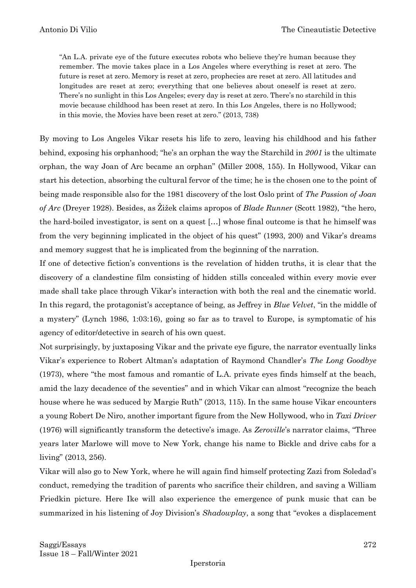"An L.A. private eye of the future executes robots who believe they're human because they remember. The movie takes place in a Los Angeles where everything is reset at zero. The future is reset at zero. Memory is reset at zero, prophecies are reset at zero. All latitudes and longitudes are reset at zero; everything that one believes about oneself is reset at zero. There's no sunlight in this Los Angeles; every day is reset at zero. There's no starchild in this movie because childhood has been reset at zero. In this Los Angeles, there is no Hollywood; in this movie, the Movies have been reset at zero." (2013, 738)

By moving to Los Angeles Vikar resets his life to zero, leaving his childhood and his father behind, exposing his orphanhood; "he's an orphan the way the Starchild in *2001* is the ultimate orphan, the way Joan of Arc became an orphan" (Miller 2008, 155). In Hollywood, Vikar can start his detection, absorbing the cultural fervor of the time; he is the chosen one to the point of being made responsible also for the 1981 discovery of the lost Oslo print of *The Passion of Joan of Arc* (Dreyer 1928). Besides, as Žižek claims apropos of *Blade Runner* (Scott 1982), "the hero, the hard-boiled investigator, is sent on a quest […] whose final outcome is that he himself was from the very beginning implicated in the object of his quest" (1993, 200) and Vikar's dreams and memory suggest that he is implicated from the beginning of the narration.

If one of detective fiction's conventions is the revelation of hidden truths, it is clear that the discovery of a clandestine film consisting of hidden stills concealed within every movie ever made shall take place through Vikar's interaction with both the real and the cinematic world. In this regard, the protagonist's acceptance of being, as Jeffrey in *Blue Velvet*, "in the middle of a mystery" (Lynch 1986, 1:03:16), going so far as to travel to Europe, is symptomatic of his agency of editor/detective in search of his own quest.

Not surprisingly, by juxtaposing Vikar and the private eye figure, the narrator eventually links Vikar's experience to Robert Altman's adaptation of Raymond Chandler's *The Long Goodbye* (1973), where "the most famous and romantic of L.A. private eyes finds himself at the beach, amid the lazy decadence of the seventies" and in which Vikar can almost "recognize the beach house where he was seduced by Margie Ruth" (2013, 115). In the same house Vikar encounters a young Robert De Niro, another important figure from the New Hollywood, who in *Taxi Driver* (1976) will significantly transform the detective's image. As *Zeroville*'s narrator claims, "Three years later Marlowe will move to New York, change his name to Bickle and drive cabs for a living" (2013, 256).

Vikar will also go to New York, where he will again find himself protecting Zazi from Soledad's conduct, remedying the tradition of parents who sacrifice their children, and saving a William Friedkin picture. Here Ike will also experience the emergence of punk music that can be summarized in his listening of Joy Division's *Shadowplay*, a song that "evokes a displacement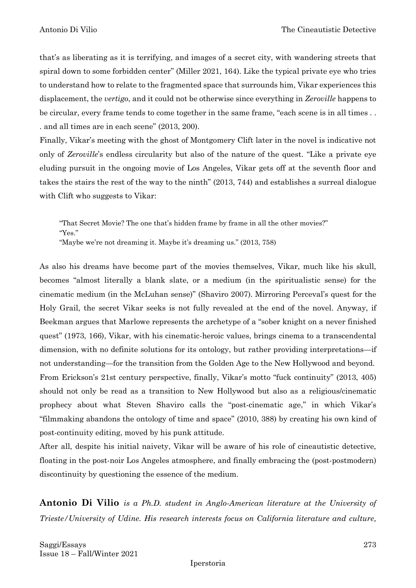that's as liberating as it is terrifying, and images of a secret city, with wandering streets that spiral down to some forbidden center" (Miller 2021, 164). Like the typical private eye who tries to understand how to relate to the fragmented space that surrounds him, Vikar experiences this displacement, the *vertigo*, and it could not be otherwise since everything in *Zeroville* happens to be circular, every frame tends to come together in the same frame, "each scene is in all times . . . and all times are in each scene" (2013, 200).

Finally, Vikar's meeting with the ghost of Montgomery Clift later in the novel is indicative not only of *Zeroville*'s endless circularity but also of the nature of the quest. "Like a private eye eluding pursuit in the ongoing movie of Los Angeles, Vikar gets off at the seventh floor and takes the stairs the rest of the way to the ninth" (2013, 744) and establishes a surreal dialogue with Clift who suggests to Vikar:

"That Secret Movie? The one that's hidden frame by frame in all the other movies?" "Yes." "Maybe we're not dreaming it. Maybe it's dreaming us." (2013, 758)

As also his dreams have become part of the movies themselves, Vikar, much like his skull, becomes "almost literally a blank slate, or a medium (in the spiritualistic sense) for the cinematic medium (in the McLuhan sense)" (Shaviro 2007). Mirroring Perceval's quest for the Holy Grail, the secret Vikar seeks is not fully revealed at the end of the novel. Anyway, if Beekman argues that Marlowe represents the archetype of a "sober knight on a never finished quest" (1973, 166), Vikar, with his cinematic-heroic values, brings cinema to a transcendental dimension, with no definite solutions for its ontology, but rather providing interpretations—if not understanding—for the transition from the Golden Age to the New Hollywood and beyond. From Erickson's 21st century perspective, finally, Vikar's motto "fuck continuity" (2013, 405) should not only be read as a transition to New Hollywood but also as a religious/cinematic prophecy about what Steven Shaviro calls the "post-cinematic age," in which Vikar's "filmmaking abandons the ontology of time and space" (2010, 388) by creating his own kind of post-continuity editing, moved by his punk attitude.

After all, despite his initial naivety, Vikar will be aware of his role of cineautistic detective, floating in the post-noir Los Angeles atmosphere, and finally embracing the (post-postmodern) discontinuity by questioning the essence of the medium.

**Antonio Di Vilio** *is a Ph.D. student in Anglo-American literature at the University of Trieste/University of Udine. His research interests focus on California literature and culture,*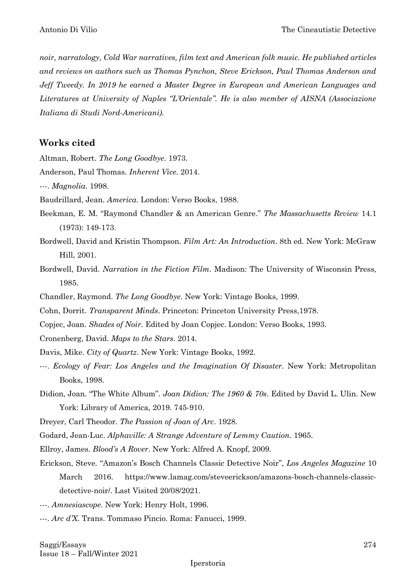*noir, narratology, Cold War narratives, film text and American folk music. He published articles and reviews on authors such as Thomas Pynchon, Steve Erickson, Paul Thomas Anderson and Jeff Tweedy. In 2019 he earned a Master Degree in European and American Languages and Literatures at University of Naples "L'Orientale". He is also member of AISNA (Associazione Italiana di Studi Nord-Americani).*

### **Works cited**

Altman, Robert. *The Long Goodbye*. 1973.

Anderson, Paul Thomas. *Inherent Vice*. 2014.

---. *Magnolia*. 1998.

Baudrillard, Jean. *America*. London: Verso Books, 1988.

- Beekman, E. M. "Raymond Chandler & an American Genre." *The Massachusetts Review* 14.1 (1973): 149-173.
- Bordwell, David and Kristin Thompson. *Film Art: An Introduction*. 8th ed. New York: McGraw Hill, 2001.
- Bordwell, David. *Narration in the Fiction Film*. Madison: The University of Wisconsin Press, 1985.
- Chandler, Raymond. *The Long Goodbye*. New York: Vintage Books, 1999.

Cohn, Dorrit. *Transparent Minds*. Princeton: Princeton University Press,1978.

- Copjec, Joan. *Shades of Noir*. Edited by Joan Copjec. London: Verso Books, 1993.
- Cronenberg, David. *Maps to the Stars*. 2014.
- Davis, Mike. *City of Quartz*. New York: Vintage Books, 1992.
- ---. *Ecology of Fear: Los Angeles and the Imagination Of Disaster.* New York: Metropolitan Books, 1998.
- Didion, Joan. "The White Album". *Joan Didion: The 1960 & 70s*. Edited by David L. Ulin. New York: Library of America, 2019. 745-910.

Dreyer, Carl Theodor. *The Passion of Joan of Arc*. 1928.

Godard, Jean-Luc. *Alphaville: A Strange Adventure of Lemmy Caution*. 1965.

Ellroy, James. *Blood's A Rover*. New York: Alfred A. Knopf, 2009.

- Erickson, Steve*.* "Amazon's Bosch Channels Classic Detective Noir", *Los Angeles Magazine* 10 March 2016. https://www.lamag.com/steveerickson/amazons-bosch-channels-classicdetective-noir/. Last Visited 20/08/2021.
- ---. *Amnesiascope*. New York: Henry Holt, 1996.
- ---. *Arc d'X*. Trans. Tommaso Pincio. Roma: Fanucci, 1999.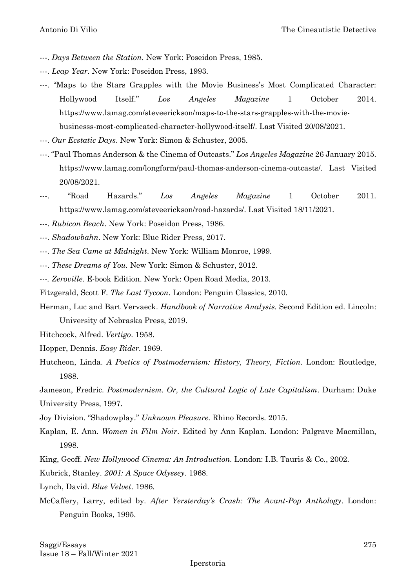- ---. *Days Between the Station*. New York: Poseidon Press, 1985.
- ---. *Leap Year*. New York: Poseidon Press, 1993.
- ---. "Maps to the Stars Grapples with the Movie Business's Most Complicated Character: Hollywood Itself." *Los Angeles Magazine* 1 October 2014. https://www.lamag.com/steveerickson/maps-to-the-stars-grapples-with-the-moviebusinesss-most-complicated-character-hollywood-itself/. Last Visited 20/08/2021.
- ---. *Our Ecstatic Days*. New York: Simon & Schuster, 2005.
- ---. "Paul Thomas Anderson & the Cinema of Outcasts." *Los Angeles Magazine* 26 January 2015. https://www.lamag.com/longform/paul-thomas-anderson-cinema-outcasts/. Last Visited 20/08/2021.
- ---. "Road Hazards." *Los Angeles Magazine* 1 October 2011. https://www.lamag.com/steveerickson/road-hazards/. Last Visited 18/11/2021.
- ---. *Rubicon Beach*. New York: Poseidon Press, 1986.
- *---*. *Shadowbahn*. New York: Blue Rider Press, 2017.
- ---. *The Sea Came at Midnight*. New York: William Monroe, 1999.
- ---. *These Dreams of You.* New York: Simon & Schuster, 2012.
- *---. Zeroville*. E-book Edition. New York: Open Road Media, 2013.
- Fitzgerald, Scott F. *The Last Tycoon*. London: Penguin Classics, 2010.
- Herman, Luc and Bart Vervaeck. *Handbook of Narrative Analysis.* Second Edition ed. Lincoln: University of Nebraska Press, 2019.
- Hitchcock, Alfred. *Vertigo*. 1958.
- Hopper, Dennis. *Easy Rider*. 1969.
- Hutcheon, Linda. *A Poetics of Postmodernism: History, Theory, Fiction*. London: Routledge, 1988.
- Jameson, Fredric. *Postmodernism. Or, the Cultural Logic of Late Capitalism*. Durham: Duke University Press, 1997.
- Joy Division. "Shadowplay." *Unknown Pleasure*. Rhino Records. 2015.
- Kaplan, E. Ann. *Women in Film Noir*. Edited by Ann Kaplan. London: Palgrave Macmillan, 1998.
- King, Geoff. *New Hollywood Cinema: An Introduction.* London: I.B. Tauris & Co., 2002.
- Kubrick, Stanley. *2001: A Space Odyssey*. 1968.
- Lynch, David. *Blue Velvet*. 1986.
- McCaffery, Larry, edited by. *After Yersterday's Crash: The Avant-Pop Anthology*. London: Penguin Books, 1995.